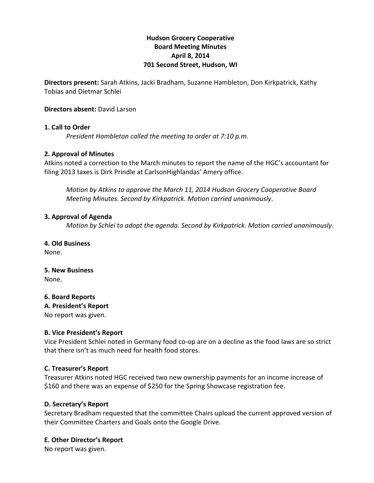# **Hudson'Grocery'Cooperative Board'Meeting'Minutes April'8,'2014 701 Second Street, Hudson, WI**

**Directors present:** Sarah Atkins, Jacki Bradham, Suzanne Hambleton, Don Kirkpatrick, Kathy Tobias and Dietmar Schlei

**Directors absent:** David Larson

### **1. Call to Order**

*President Hambleton called the meeting to order at 7:10 p.m.* 

#### **2.'Approval'of'Minutes**

Atkins noted a correction to the March minutes to report the name of the HGC's accountant for filing 2013 taxes is Dirk Prindle at CarlsonHighlandas' Amery office.

*Motion by Atkins to approve the March 11, 2014 Hudson Grocery Cooperative Board Meeting Minutes. Second by Kirkpatrick. Motion carried unanimously.* 

#### **3. Approval of Agenda**

*Motion by Schlei to adopt the agenda. Second by Kirkpatrick. Motion carried unanimously.* 

#### **4. Old'Business**

None.

#### **5.'New'Business'** None.!

**6.'Board'Reports**

**A.'President's'Report**

No report was given.

### **B.'Vice'President's Report**

Vice President Schlei noted in Germany food co-op are on a decline as the food laws are so strict that there isn't as much need for health food stores.

### **C.'Treasurer's'Report**

Treasurer Atkins noted HGC received two new ownership payments for an income increase of \$160 and there was an expense of \$250 for the Spring Showcase registration fee.

### **D. Secretary's Report**

Secretary Bradham requested that the committee Chairs upload the current approved version of their Committee Charters and Goals onto the Google Drive.

### **E. Other Director's Report**

No report was given.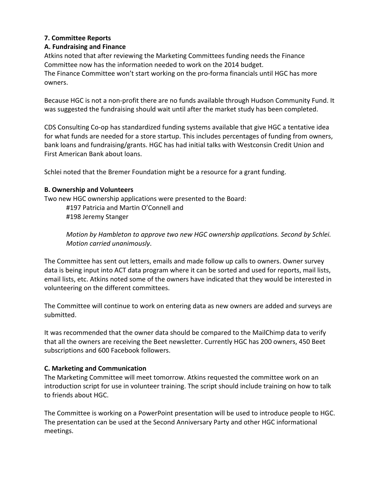# **7.'Committee'Reports**

# **A.'Fundraising and'Finance'**

Atkins noted that after reviewing the Marketing Committees funding needs the Finance Committee now has the information needed to work on the 2014 budget. The Finance Committee won't start working on the pro-forma financials until HGC has more

owners.

Because HGC is not a non-profit there are no funds available through Hudson Community Fund. It was suggested the fundraising should wait until after the market study has been completed.

CDS Consulting Co-op has standardized funding systems available that give HGC a tentative idea for what funds are needed for a store startup. This includes percentages of funding from owners, bank loans and fundraising/grants. HGC has had initial talks with Westconsin Credit Union and First American Bank about loans.

Schlei noted that the Bremer Foundation might be a resource for a grant funding.

## **B.'Ownership and'Volunteers**

Two new HGC ownership applications were presented to the Board:

#197 Patricia and Martin O'Connell and #198 Jeremy Stanger

*Motion by Hambleton to approve two new HGC ownership applications. Second by Schlei. Motion!carried!unanimously*.

The Committee has sent out letters, emails and made follow up calls to owners. Owner survey data is being input into ACT data program where it can be sorted and used for reports, mail lists, email lists, etc. Atkins noted some of the owners have indicated that they would be interested in volunteering on the different committees.

The Committee will continue to work on entering data as new owners are added and surveys are submitted.

It was recommended that the owner data should be compared to the MailChimp data to verify that all the owners are receiving the Beet newsletter. Currently HGC has 200 owners, 450 Beet subscriptions and 600 Facebook followers.

# **C.'Marketing'and'Communication**

The Marketing Committee will meet tomorrow. Atkins requested the committee work on an introduction script for use in volunteer training. The script should include training on how to talk to friends about HGC.

The Committee is working on a PowerPoint presentation will be used to introduce people to HGC. The presentation can be used at the Second Anniversary Party and other HGC informational meetings.